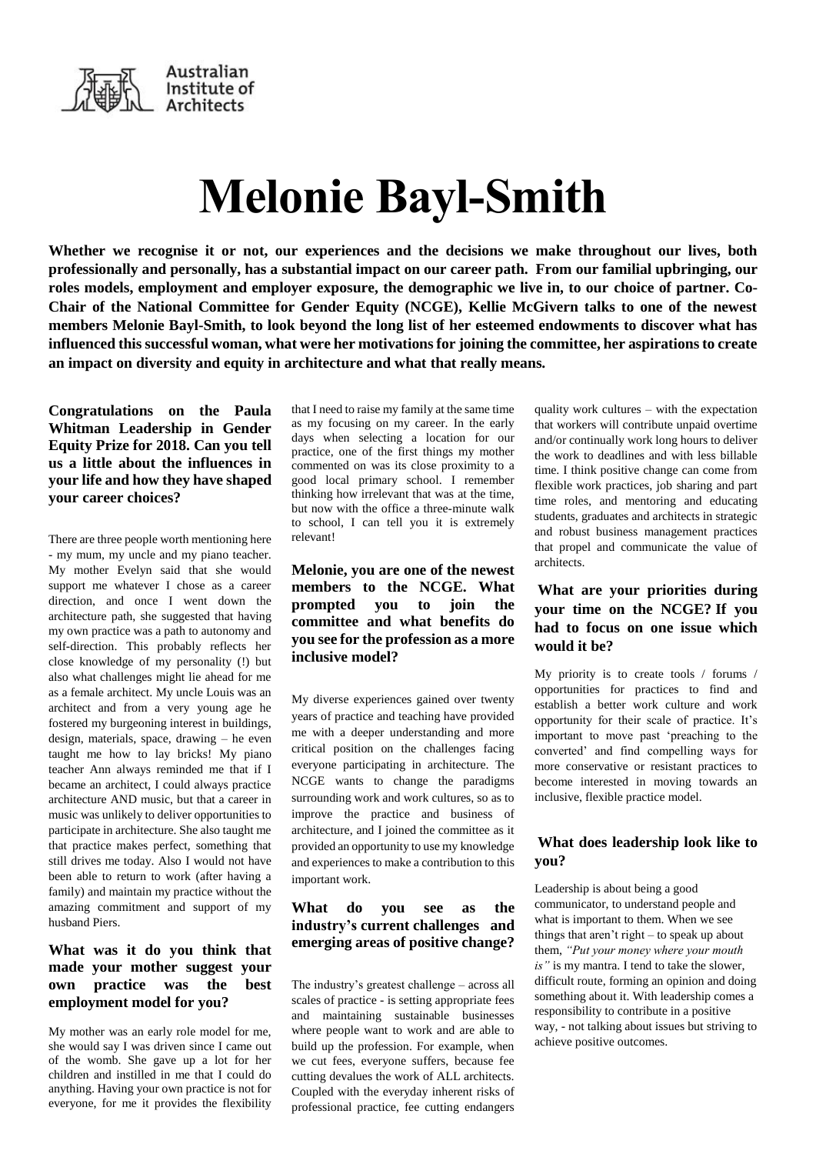

# **Melonie Bayl-Smith**

**Whether we recognise it or not, our experiences and the decisions we make throughout our lives, both professionally and personally, has a substantial impact on our career path. From our familial upbringing, our roles models, employment and employer exposure, the demographic we live in, to our choice of partner. Co-Chair of the National Committee for Gender Equity (NCGE), Kellie McGivern talks to one of the newest members Melonie Bayl-Smith, to look beyond the long list of her esteemed endowments to discover what has influenced this successful woman, what were her motivations for joining the committee, her aspirations to create an impact on diversity and equity in architecture and what that really means.**

**Congratulations on the Paula Whitman Leadership in Gender Equity Prize for 2018. Can you tell us a little about the influences in your life and how they have shaped your career choices?**

There are three people worth mentioning here - my mum, my uncle and my piano teacher. My mother Evelyn said that she would support me whatever I chose as a career direction, and once I went down the architecture path, she suggested that having my own practice was a path to autonomy and self-direction. This probably reflects her close knowledge of my personality (!) but also what challenges might lie ahead for me as a female architect. My uncle Louis was an architect and from a very young age he fostered my burgeoning interest in buildings, design, materials, space, drawing – he even taught me how to lay bricks! My piano teacher Ann always reminded me that if I became an architect, I could always practice architecture AND music, but that a career in music was unlikely to deliver opportunities to participate in architecture. She also taught me that practice makes perfect, something that still drives me today. Also I would not have been able to return to work (after having a family) and maintain my practice without the amazing commitment and support of my husband Piers.

#### **What was it do you think that made your mother suggest your own practice was the best employment model for you?**

My mother was an early role model for me, she would say I was driven since I came out of the womb. She gave up a lot for her children and instilled in me that I could do anything. Having your own practice is not for everyone, for me it provides the flexibility

that I need to raise my family at the same time as my focusing on my career. In the early days when selecting a location for our practice, one of the first things my mother commented on was its close proximity to a good local primary school. I remember thinking how irrelevant that was at the time, but now with the office a three-minute walk to school, I can tell you it is extremely relevant!

### **Melonie, you are one of the newest members to the NCGE. What prompted you to join the committee and what benefits do you see for the profession as a more inclusive model?**

My diverse experiences gained over twenty years of practice and teaching have provided me with a deeper understanding and more critical position on the challenges facing everyone participating in architecture. The NCGE wants to change the paradigms surrounding work and work cultures, so as to improve the practice and business of architecture, and I joined the committee as it provided an opportunity to use my knowledge and experiences to make a contribution to this important work.

### **What do you see as the industry's current challenges and emerging areas of positive change?**

The industry's greatest challenge – across all scales of practice - is setting appropriate fees and maintaining sustainable businesses where people want to work and are able to build up the profession. For example, when we cut fees, everyone suffers, because fee cutting devalues the work of ALL architects. Coupled with the everyday inherent risks of professional practice, fee cutting endangers quality work cultures – with the expectation that workers will contribute unpaid overtime and/or continually work long hours to deliver the work to deadlines and with less billable time. I think positive change can come from flexible work practices, job sharing and part time roles, and mentoring and educating students, graduates and architects in strategic and robust business management practices that propel and communicate the value of architects.

## **What are your priorities during your time on the NCGE? If you had to focus on one issue which would it be?**

My priority is to create tools / forums / opportunities for practices to find and establish a better work culture and work opportunity for their scale of practice. It's important to move past 'preaching to the converted' and find compelling ways for more conservative or resistant practices to become interested in moving towards an inclusive, flexible practice model.

#### **What does leadership look like to you?**

Leadership is about being a good communicator, to understand people and what is important to them. When we see things that aren't right – to speak up about them, *"Put your money where your mouth is"* is my mantra. I tend to take the slower, difficult route, forming an opinion and doing something about it. With leadership comes a responsibility to contribute in a positive way, - not talking about issues but striving to achieve positive outcomes.